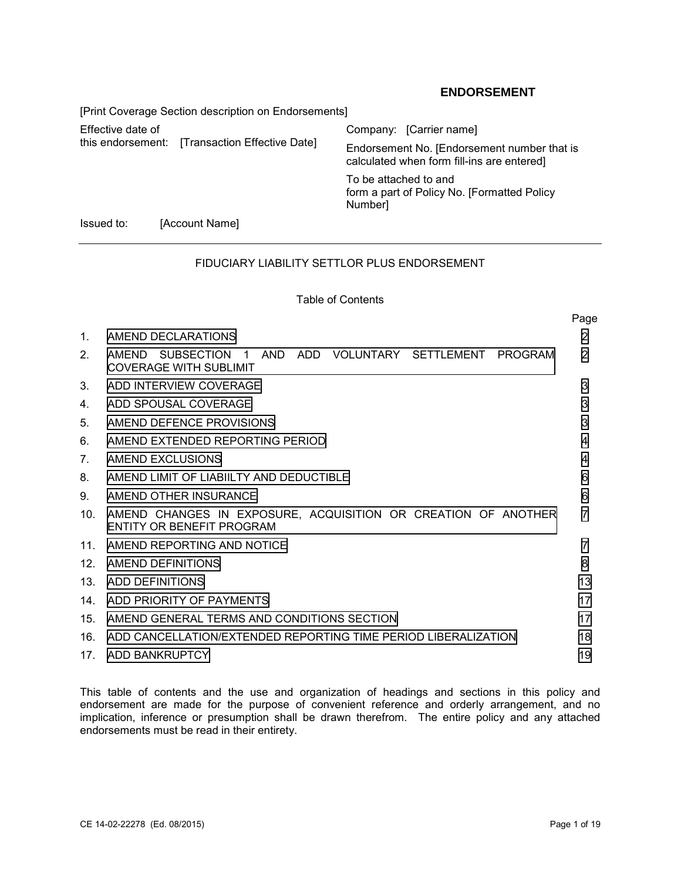# **ENDORSEMENT**

[Print Coverage Section description on Endorsements] Effective date of Company: [Carrier name]<br>this endorsement: [Transaction Effective Date] Fredersoment No [Endorse Endorsement No. [Endorsement number that is calculated when form fill-ins are entered] To be attached to and form a part of Policy No. [Formatted Policy Number] Issued to: [Account Name]

# FIDUCIARY LIABILITY SETTLOR PLUS ENDORSEMENT

### Table of Contents

|                                |                                                                                            | Page           |  |  |  |  |
|--------------------------------|--------------------------------------------------------------------------------------------|----------------|--|--|--|--|
| $1_{-}$                        | AMEND DECLARATIONS                                                                         | $\overline{2}$ |  |  |  |  |
| 2 <sub>1</sub>                 | AMEND SUBSECTION 1 AND ADD VOLUNTARY SETTLEMENT PROGRAM<br>COVERAGE WITH SUBLIMIT          | 2              |  |  |  |  |
| 3.                             | 3<br>ADD INTERVIEW COVERAGE                                                                |                |  |  |  |  |
| 4.                             | 3<br>ADD SPOUSAL COVERAGE                                                                  |                |  |  |  |  |
| 5.                             | 3<br>AMEND DEFENCE PROVISIONS                                                              |                |  |  |  |  |
| 6.                             | AMEND EXTENDED REPORTING PERIOD<br>4                                                       |                |  |  |  |  |
| $7_{\scriptscriptstyle{\sim}}$ | AMEND EXCLUSIONS<br>4                                                                      |                |  |  |  |  |
| 8.                             | AMEND LIMIT OF LIABIILTY AND DEDUCTIBLE                                                    |                |  |  |  |  |
| 9.                             | AMEND OTHER INSURANCE                                                                      |                |  |  |  |  |
| 10 <sub>1</sub>                | AMEND CHANGES IN EXPOSURE, ACQUISITION OR CREATION OF ANOTHER<br>ENTITY OR BENEFIT PROGRAM | 7              |  |  |  |  |
| 11                             | AMEND REPORTING AND NOTICE                                                                 |                |  |  |  |  |
| 12 <sub>1</sub>                | AMEND DEFINITIONS                                                                          |                |  |  |  |  |
| 13 <sup>7</sup>                | ADD DEFINITIONS                                                                            |                |  |  |  |  |
|                                | 14 ADD PRIORITY OF PAYMENTS                                                                |                |  |  |  |  |
| 15 <sub>1</sub>                | AMEND GENERAL TERMS AND CONDITIONS SECTION                                                 |                |  |  |  |  |
| 16.                            | ADD CANCELLATION/EXTENDED REPORTING TIME PERIOD LIBERALIZATION<br>18                       |                |  |  |  |  |
|                                | 19<br>17. ADD BANKRUPTCY                                                                   |                |  |  |  |  |

This table of contents and the use and organization of headings and sections in this policy and endorsement are made for the purpose of convenient reference and orderly arrangement, and no implication, inference or presumption shall be drawn therefrom. The entire policy and any attached endorsements must be read in their entirety.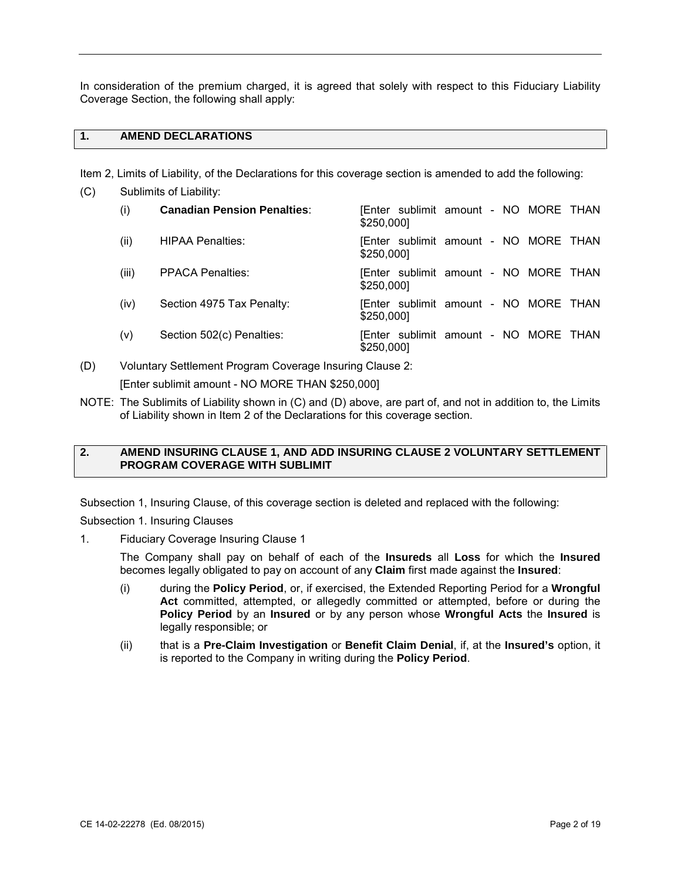In consideration of the premium charged, it is agreed that solely with respect to this Fiduciary Liability Coverage Section, the following shall apply:

# **1. AMEND DECLARATIONS**

Item 2, Limits of Liability, of the Declarations for this coverage section is amended to add the following:

| (C) | Sublimits of Liability: |                                    |                                                     |  |  |  |  |  |  |
|-----|-------------------------|------------------------------------|-----------------------------------------------------|--|--|--|--|--|--|
|     | (i)                     | <b>Canadian Pension Penalties:</b> | [Enter sublimit amount - NO MORE THAN<br>\$250,000] |  |  |  |  |  |  |
|     | (ii)                    | <b>HIPAA Penalties:</b>            | [Enter sublimit amount - NO MORE THAN<br>\$250,000] |  |  |  |  |  |  |
|     | (iii)                   | <b>PPACA Penalties:</b>            | [Enter sublimit amount - NO MORE THAN<br>\$250,000] |  |  |  |  |  |  |
|     | (iv)                    | Section 4975 Tax Penalty:          | [Enter sublimit amount - NO MORE THAN<br>\$250,000] |  |  |  |  |  |  |
|     | (v)                     | Section 502(c) Penalties:          | [Enter sublimit amount - NO MORE THAN<br>\$250,000] |  |  |  |  |  |  |

(D) Voluntary Settlement Program Coverage Insuring Clause 2:

[Enter sublimit amount - NO MORE THAN \$250,000]

NOTE: The Sublimits of Liability shown in (C) and (D) above, are part of, and not in addition to, the Limits of Liability shown in Item 2 of the Declarations for this coverage section.

## **2. AMEND INSURING CLAUSE 1, AND ADD INSURING CLAUSE 2 VOLUNTARY SETTLEMENT PROGRAM COVERAGE WITH SUBLIMIT**

Subsection 1, Insuring Clause, of this coverage section is deleted and replaced with the following:

Subsection 1. Insuring Clauses

1. Fiduciary Coverage Insuring Clause 1

 The Company shall pay on behalf of each of the **Insureds** all **Loss** for which the **Insured**  becomes legally obligated to pay on account of any **Claim** first made against the **Insured**:

- (i) during the **Policy Period**, or, if exercised, the Extended Reporting Period for a **Wrongful Act** committed, attempted, or allegedly committed or attempted, before or during the **Policy Period** by an **Insured** or by any person whose **Wrongful Acts** the **Insured** is legally responsible; or
- (ii) that is a **Pre-Claim Investigation** or **Benefit Claim Denial**, if, at the **Insured's** option, it is reported to the Company in writing during the **Policy Period**.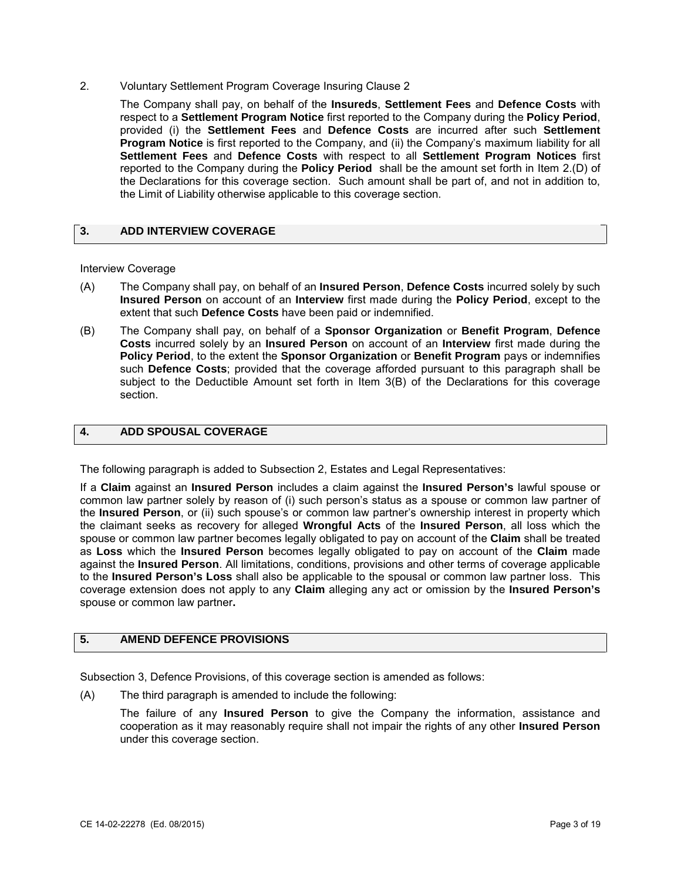<span id="page-2-0"></span>2. Voluntary Settlement Program Coverage Insuring Clause 2

 The Company shall pay, on behalf of the **Insureds**, **Settlement Fees** and **Defence Costs** with reported to the Company during the **Policy Period** shall be the amount set forth in Item 2.(D) of the Declarations for this coverage section. Such amount shall be part of, and not in addition to, respect to a **Settlement Program Notice** first reported to the Company during the **Policy Period**, provided (i) the **Settlement Fees** and **Defence Costs** are incurred after such **Settlement Program Notice** is first reported to the Company, and (ii) the Company's maximum liability for all **Settlement Fees** and **Defence Costs** with respect to all **Settlement Program Notices** first the Limit of Liability otherwise applicable to this coverage section.

## **3. ADD INTERVIEW COVERAGE**

#### Interview Coverage

- (A) The Company shall pay, on behalf of an **Insured Person**, **Defence Costs** incurred solely by such **Insured Person** on account of an **Interview** first made during the **Policy Period**, except to the extent that such **Defence Costs** have been paid or indemnified.
- (B) The Company shall pay, on behalf of a **Sponsor Organization** or **Benefit Program**, **Defence Costs** incurred solely by an **Insured Person** on account of an **Interview** first made during the **Policy Period**, to the extent the **Sponsor Organization** or **Benefit Program** pays or indemnifies such **Defence Costs**; provided that the coverage afforded pursuant to this paragraph shall be subject to the Deductible Amount set forth in Item 3(B) of the Declarations for this coverage section.

### **4. ADD SPOUSAL COVERAGE**

The following paragraph is added to Subsection 2, Estates and Legal Representatives:

 If a **Claim** against an **Insured Person** includes a claim against the **Insured Person's** lawful spouse or common law partner solely by reason of (i) such person's status as a spouse or common law partner of the **Insured Person**, or (ii) such spouse's or common law partner's ownership interest in property which spouse or common law partner becomes legally obligated to pay on account of the **Claim** shall be treated as **Loss** which the **Insured Person** becomes legally obligated to pay on account of the **Claim** made to the **Insured Person's Loss** shall also be applicable to the spousal or common law partner loss. This coverage extension does not apply to any **Claim** alleging any act or omission by the **Insured Person's**  the claimant seeks as recovery for alleged **Wrongful Acts** of the **Insured Person**, all loss which the against the **Insured Person**. All limitations, conditions, provisions and other terms of coverage applicable spouse or common law partner**.** 

## **5. AMEND DEFENCE PROVISIONS**

Subsection 3, Defence Provisions, of this coverage section is amended as follows:

(A) The third paragraph is amended to include the following:

 cooperation as it may reasonably require shall not impair the rights of any other **Insured Person**  The failure of any **Insured Person** to give the Company the information, assistance and under this coverage section.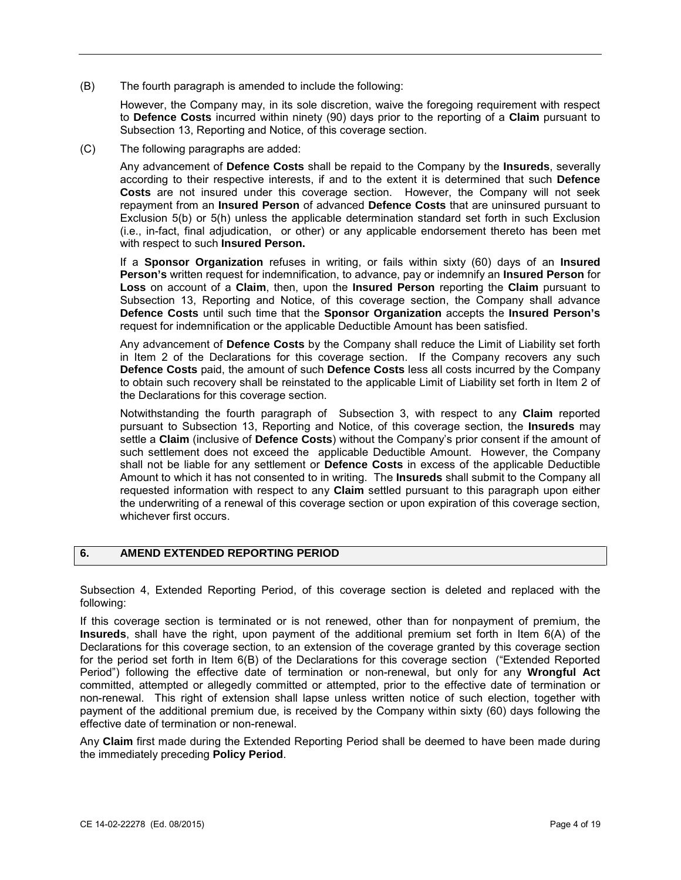<span id="page-3-0"></span>The fourth paragraph is amended to include the following:

 (B) The fourth paragraph is amended to include the following: However, the Company may, in its sole discretion, waive the foregoing requirement with respect to **Defence Costs** incurred within ninety (90) days prior to the reporting of a **Claim** pursuant to Subsection 13, Reporting and Notice, of this coverage section.

(C) The following paragraphs are added:

 Any advancement of **Defence Costs** shall be repaid to the Company by the **Insureds**, severally **Costs** are not insured under this coverage section. However, the Company will not seek repayment from an **Insured Person** of advanced **Defence Costs** that are uninsured pursuant to according to their respective interests, if and to the extent it is determined that such **Defence**  Exclusion 5(b) or 5(h) unless the applicable determination standard set forth in such Exclusion (i.e., in-fact, final adjudication, or other) or any applicable endorsement thereto has been met with respect to such **Insured Person.** 

request for indemnification or the applicable Deductible Amount has been satisfied. If a **Sponsor Organization** refuses in writing, or fails within sixty (60) days of an **Insured Person's** written request for indemnification, to advance, pay or indemnify an **Insured Person** for **Loss** on account of a **Claim**, then, upon the **Insured Person** reporting the **Claim** pursuant to Subsection 13, Reporting and Notice, of this coverage section, the Company shall advance **Defence Costs** until such time that the **Sponsor Organization** accepts the **Insured Person's** 

request for indemnification or the applicable Deductible Amount has been satisfied.<br>Any advancement of **Defence Costs** by the Company shall reduce the Limit of Liability set forth in Item 2 of the Declarations for this coverage section. If the Company recovers any such **Defence Costs** paid, the amount of such **Defence Costs** less all costs incurred by the Company to obtain such recovery shall be reinstated to the applicable Limit of Liability set forth in Item 2 of the Declarations for this coverage section.

 Amount to which it has not consented to in writing. The **Insureds** shall submit to the Company all requested information with respect to any **Claim** settled pursuant to this paragraph upon either Notwithstanding the fourth paragraph of Subsection 3, with respect to any **Claim** reported pursuant to Subsection 13, Reporting and Notice, of this coverage section, the **Insureds** may settle a **Claim** (inclusive of **Defence Costs**) without the Company's prior consent if the amount of such settlement does not exceed the applicable Deductible Amount. However, the Company shall not be liable for any settlement or **Defence Costs** in excess of the applicable Deductible the underwriting of a renewal of this coverage section or upon expiration of this coverage section, whichever first occurs.

# **6. AMEND EXTENDED REPORTING PERIOD**

Subsection 4, Extended Reporting Period, of this coverage section is deleted and replaced with the following:

 Declarations for this coverage section, to an extension of the coverage granted by this coverage section Period") following the effective date of termination or non-renewal, but only for any **Wrongful Act**  non-renewal. This right of extension shall lapse unless written notice of such election, together with payment of the additional premium due, is received by the Company within sixty (60) days following the effective date of termination or non-renewal. If this coverage section is terminated or is not renewed, other than for nonpayment of premium, the **Insureds**, shall have the right, upon payment of the additional premium set forth in Item 6(A) of the for the period set forth in Item 6(B) of the Declarations for this coverage section ("Extended Reported committed, attempted or allegedly committed or attempted, prior to the effective date of termination or

Any Claim first made during the Extended Reporting Period shall be deemed to have been made during the immediately preceding **Policy Period**.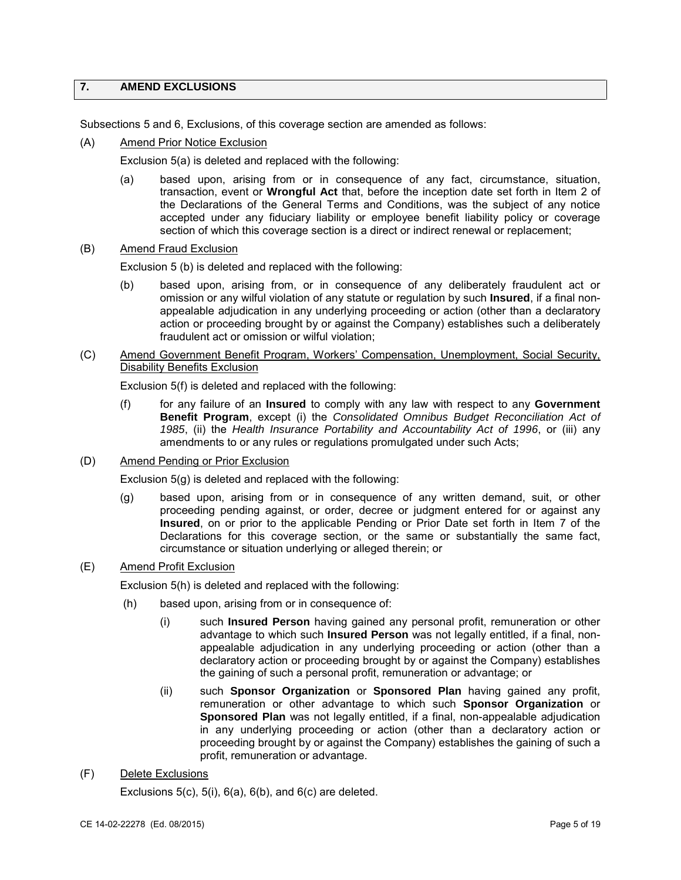# **7. AMEND EXCLUSIONS**

Subsections 5 and 6, Exclusions, of this coverage section are amended as follows:

(A) Amend Prior Notice Exclusion

Exclusion 5(a) is deleted and replaced with the following:

- transaction, event or **Wrongful Act** that, before the inception date set forth in Item 2 of accepted under any fiduciary liability or employee benefit liability policy or coverage (a) based upon, arising from or in consequence of any fact, circumstance, situation, the Declarations of the General Terms and Conditions, was the subject of any notice section of which this coverage section is a direct or indirect renewal or replacement;
- **Amend Fraud Exclusion**

(B) Amend Fraud Exclusion<br>Exclusion 5 (b) is deleted and replaced with the following:

- (b) based upon, arising from, or in consequence of any deliberately fraudulent act or omission or any wilful violation of any statute or regulation by such **Insured**, if a final nonappealable adjudication in any underlying proceeding or action (other than a declaratory action or proceeding brought by or against the Company) establishes such a deliberately fraudulent act or omission or wilful violation;
- (C) Amend Government Benefit Program, Workers' Compensation, Unemployment, Social Security, Disability Benefits Exclusion

Exclusion 5(f) is deleted and replaced with the following:

- (f) for any failure of an **Insured** to comply with any law with respect to any **Government Benefit Program**, except (i) the *Consolidated Omnibus Budget Reconciliation Act of 1985*, (ii) the *Health Insurance Portability and Accountability Act of 1996*, or (iii) any amendments to or any rules or regulations promulgated under such Acts;
- (D) Amend Pending or Prior Exclusion

Exclusion 5(g) is deleted and replaced with the following:

 (g) based upon, arising from or in consequence of any written demand, suit, or other **Insured**, on or prior to the applicable Pending or Prior Date set forth in Item 7 of the Declarations for this coverage section, or the same or substantially the same fact, proceeding pending against, or order, decree or judgment entered for or against any circumstance or situation underlying or alleged therein; or

## (E) Amend Profit Exclusion

Exclusion 5(h) is deleted and replaced with the following:

- $(h)$ based upon, arising from or in consequence of:
	- (i) such **Insured Person** having gained any personal profit, remuneration or other advantage to which such **Insured Person** was not legally entitled, if a final, nonappealable adjudication in any underlying proceeding or action (other than a declaratory action or proceeding brought by or against the Company) establishes the gaining of such a personal profit, remuneration or advantage; or
	- (ii) such **Sponsor Organization** or **Sponsored Plan** having gained any profit, **Sponsored Plan** was not legally entitled, if a final, non-appealable adjudication in any underlying proceeding or action (other than a declaratory action or remuneration or other advantage to which such **Sponsor Organization** or proceeding brought by or against the Company) establishes the gaining of such a profit, remuneration or advantage.
- **Delete Exclusions**

 $(F)$  Delete Exclusions<br>Exclusions 5(c), 5(i), 6(a), 6(b), and 6(c) are deleted.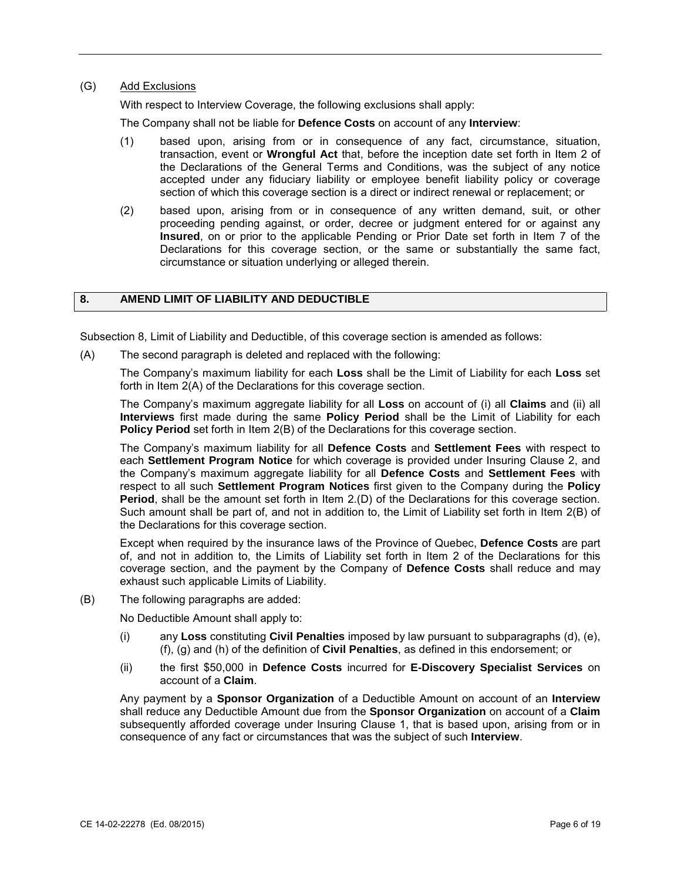# (G) Add Exclusions

With respect to Interview Coverage, the following exclusions shall apply:

The Company shall not be liable for **Defence Costs** on account of any **Interview**:

- transaction, event or **Wrongful Act** that, before the inception date set forth in Item 2 of accepted under any fiduciary liability or employee benefit liability policy or coverage (1) based upon, arising from or in consequence of any fact, circumstance, situation, the Declarations of the General Terms and Conditions, was the subject of any notice section of which this coverage section is a direct or indirect renewal or replacement; or
- (2) based upon, arising from or in consequence of any written demand, suit, or other **Insured**, on or prior to the applicable Pending or Prior Date set forth in Item 7 of the Declarations for this coverage section, or the same or substantially the same fact, proceeding pending against, or order, decree or judgment entered for or against any circumstance or situation underlying or alleged therein.

# **8. AMEND LIMIT OF LIABILITY AND DEDUCTIBLE**

Subsection 8, Limit of Liability and Deductible, of this coverage section is amended as follows:

(A) The second paragraph is deleted and replaced with the following:

 The Company's maximum liability for each **Loss** shall be the Limit of Liability for each **Loss** set forth in Item 2(A) of the Declarations for this coverage section.

 The Company's maximum aggregate liability for all **Loss** on account of (i) all **Claims** and (ii) all Policy Period set forth in Item 2(B) of the Declarations for this coverage section. **Interviews** first made during the same **Policy Period** shall be the Limit of Liability for each

**Policy Period** set forth in Item 2(B) of the Declarations for this coverage section.<br>The Company's maximum liability for all **Defence Costs** and **Settlement Fees** with respect to each **Settlement Program Notice** for which coverage is provided under Insuring Clause 2, and **Period**, shall be the amount set forth in Item 2.(D) of the Declarations for this coverage section. Such amount shall be part of, and not in addition to, the Limit of Liability set forth in Item 2(B) of the Declarations for this coverage section. the Company's maximum aggregate liability for all **Defence Costs** and **Settlement Fees** with respect to all such **Settlement Program Notices** first given to the Company during the **Policy** 

exhaust such applicable Limits of Liability. Except when required by the insurance laws of the Province of Quebec, Defence Costs are part of, and not in addition to, the Limits of Liability set forth in Item 2 of the Declarations for this coverage section, and the payment by the Company of **Defence Costs** shall reduce and may

 $(B)$  The following paragraphs are added:

No Deductible Amount shall apply to:

- (i) any **Loss** constituting **Civil Penalties** imposed by law pursuant to subparagraphs (d), (e), (f), (g) and (h) of the definition of **Civil Penalties**, as defined in this endorsement; or
- (ii) the first \$50,000 in **Defence Costs** incurred for **E-Discovery Specialist Services** on account of a **Claim**.

 Any payment by a **Sponsor Organization** of a Deductible Amount on account of an **Interview**  subsequently afforded coverage under Insuring Clause 1, that is based upon, arising from or in shall reduce any Deductible Amount due from the **Sponsor Organization** on account of a **Claim**  consequence of any fact or circumstances that was the subject of such **Interview**.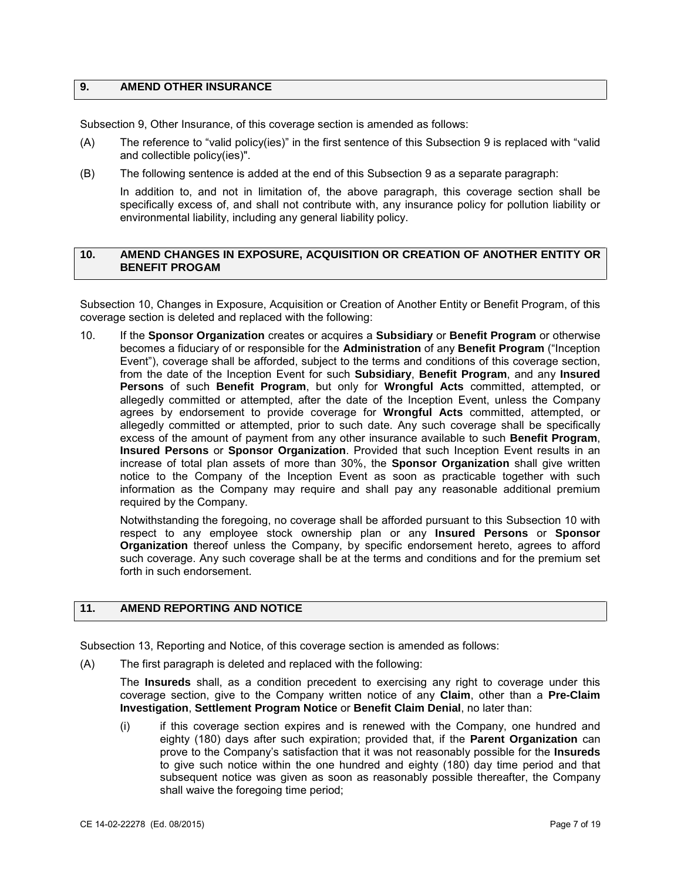## <span id="page-6-0"></span>**9. AMEND OTHER INSURANCE**

Subsection 9, Other Insurance, of this coverage section is amended as follows:

- and collectible policy(ies)". (A) The reference to "valid policy(ies)" in the first sentence of this Subsection 9 is replaced with "valid
- $(B)$  The following sentence is added at the end of this Subsection 9 as a separate paragraph:

 In addition to, and not in limitation of, the above paragraph, this coverage section shall be specifically excess of, and shall not contribute with, any insurance policy for pollution liability or environmental liability, including any general liability policy.

## **10. AMEND CHANGES IN EXPOSURE, ACQUISITION OR CREATION OF ANOTHER ENTITY OR BENEFIT PROGAM**

Subsection 10, Changes in Exposure, Acquisition or Creation of Another Entity or Benefit Program, of this coverage section is deleted and replaced with the following:

 Event"), coverage shall be afforded, subject to the terms and conditions of this coverage section, **Persons** of such **Benefit Program**, but only for **Wrongful Acts** committed, attempted, or agrees by endorsement to provide coverage for **Wrongful Acts** committed, attempted, or excess of the amount of payment from any other insurance available to such **Benefit Program**, notice to the Company of the Inception Event as soon as practicable together with such 10. If the **Sponsor Organization** creates or acquires a **Subsidiary** or **Benefit Program** or otherwise becomes a fiduciary of or responsible for the **Administration** of any **Benefit Program** ("Inception from the date of the Inception Event for such **Subsidiary**, **Benefit Program**, and any **Insured**  allegedly committed or attempted, after the date of the Inception Event, unless the Company allegedly committed or attempted, prior to such date. Any such coverage shall be specifically **Insured Persons** or **Sponsor Organization**. Provided that such Inception Event results in an increase of total plan assets of more than 30%, the **Sponsor Organization** shall give written information as the Company may require and shall pay any reasonable additional premium required by the Company.

 such coverage. Any such coverage shall be at the terms and conditions and for the premium set Notwithstanding the foregoing, no coverage shall be afforded pursuant to this Subsection 10 with respect to any employee stock ownership plan or any **Insured Persons** or **Sponsor Organization** thereof unless the Company, by specific endorsement hereto, agrees to afford forth in such endorsement.

# **11. AMEND REPORTING AND NOTICE**

Subsection 13, Reporting and Notice, of this coverage section is amended as follows:

(A) The first paragraph is deleted and replaced with the following:

The **Insureds** shall, as a condition precedent to exercising any right to coverage under this coverage section, give to the Company written notice of any **Claim**, other than a **Pre-Claim Investigation**, **Settlement Program Notice** or **Benefit Claim Denial**, no later than:

 $(i)$  prove to the Company's satisfaction that it was not reasonably possible for the **Insureds**  if this coverage section expires and is renewed with the Company, one hundred and eighty (180) days after such expiration; provided that, if the **Parent Organization** can to give such notice within the one hundred and eighty (180) day time period and that subsequent notice was given as soon as reasonably possible thereafter, the Company shall waive the foregoing time period;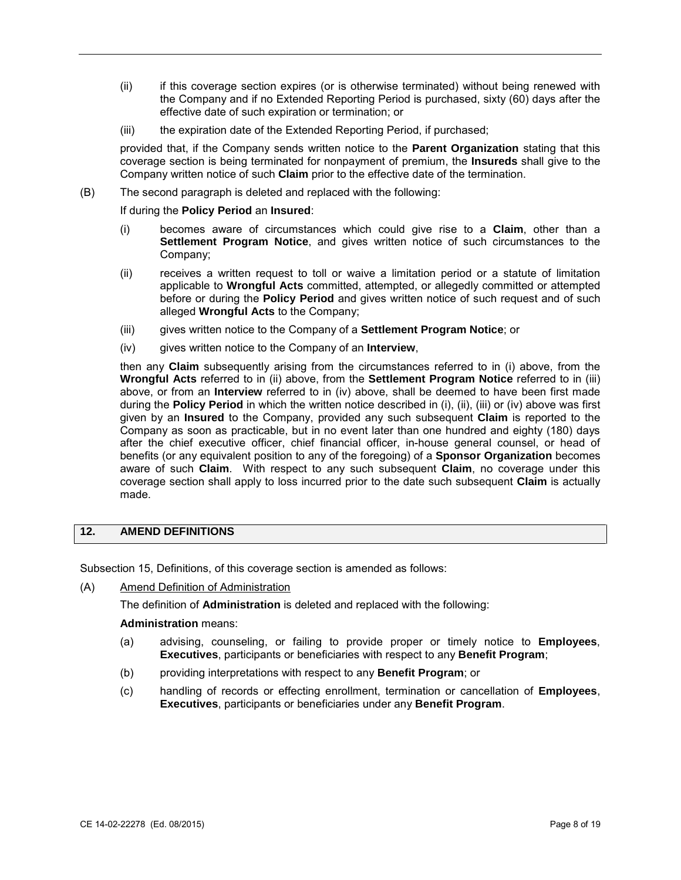- <span id="page-7-0"></span> (ii) if this coverage section expires (or is otherwise terminated) without being renewed with the Company and if no Extended Reporting Period is purchased, sixty (60) days after the effective date of such expiration or termination; or
- (iii) the expiration date of the Extended Reporting Period, if purchased;

 provided that, if the Company sends written notice to the **Parent Organization** stating that this coverage section is being terminated for nonpayment of premium, the **Insureds** shall give to the Company written notice of such **Claim** prior to the effective date of the termination.

(B) The second paragraph is deleted and replaced with the following:

### If during the **Policy Period** an **Insured**:

- (i) becomes aware of circumstances which could give rise to a **Claim**, other than a **Settlement Program Notice**, and gives written notice of such circumstances to the Company;
- applicable to **Wrongful Acts** committed, attempted, or allegedly committed or attempted before or during the **Policy Period** and gives written notice of such request and of such (ii) receives a written request to toll or waive a limitation period or a statute of limitation alleged **Wrongful Acts** to the Company;
- (iii) gives written notice to the Company of a **Settlement Program Notice**; or
- (iv) gives written notice to the Company of an **Interview**,

 **Wrongful Acts** referred to in (ii) above, from the **Settlement Program Notice** referred to in (iii) above, or from an **Interview** referred to in (iv) above, shall be deemed to have been first made Company as soon as practicable, but in no event later than one hundred and eighty (180) days aware of such **Claim**. With respect to any such subsequent **Claim**, no coverage under this coverage section shall apply to loss incurred prior to the date such subsequent **Claim** is actually then any **Claim** subsequently arising from the circumstances referred to in (i) above, from the during the **Policy Period** in which the written notice described in (i), (ii), (iii) or (iv) above was first given by an **Insured** to the Company, provided any such subsequent **Claim** is reported to the after the chief executive officer, chief financial officer, in-house general counsel, or head of benefits (or any equivalent position to any of the foregoing) of a **Sponsor Organization** becomes made.

# **12. AMEND DEFINITIONS**

Subsection 15, Definitions, of this coverage section is amended as follows:

(A) Amend Definition of Administration

The definition of **Administration** is deleted and replaced with the following:

#### **Administration** means:

- (a) advising, counseling, or failing to provide proper or timely notice to **Employees**, **Executives**, participants or beneficiaries with respect to any **Benefit Program**;
- (b) providing interpretations with respect to any **Benefit Program**; or
- (c) handling of records or effecting enrollment, termination or cancellation of **Employees**, **Executives**, participants or beneficiaries under any **Benefit Program**.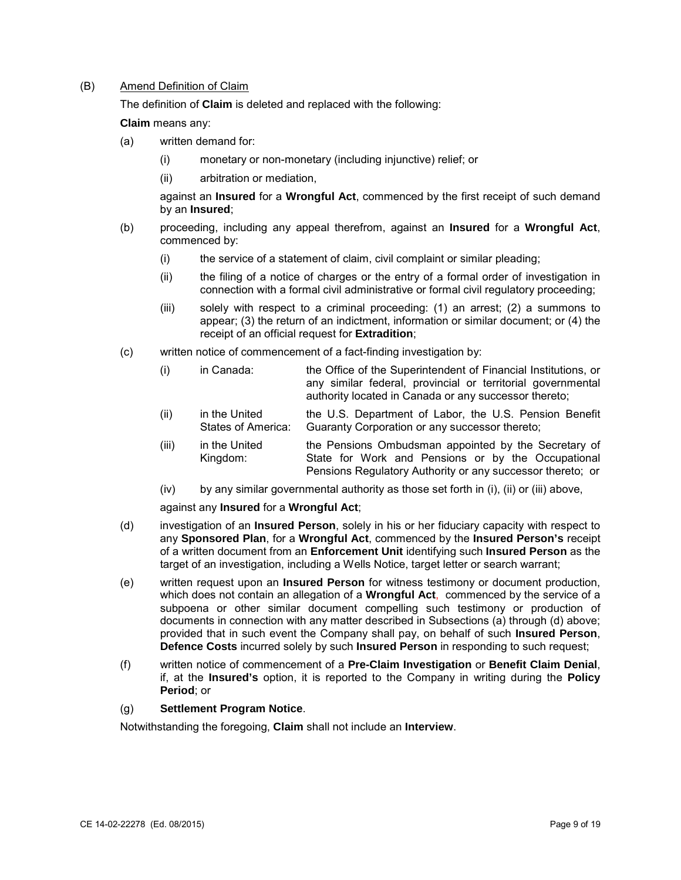## (B) Amend Definition of Claim

The definition of **Claim** is deleted and replaced with the following:

**Claim** means any:

- (a) written demand for:
	- (i) monetary or non-monetary (including injunctive) relief; or
	- (ii) arbitration or mediation,

 against an **Insured** for a **Wrongful Act**, commenced by the first receipt of such demand by an **Insured**;

- (b) proceeding, including any appeal therefrom, against an **Insured** for a **Wrongful Act**, commenced by:
	- (i) the service of a statement of claim, civil complaint or similar pleading;
	- (ii) the filing of a notice of charges or the entry of a formal order of investigation in connection with a formal civil administrative or formal civil regulatory proceeding;
	- (iii) solely with respect to a criminal proceeding: (1) an arrest; (2) a summons to appear; (3) the return of an indictment, information or similar document; or (4) the receipt of an official request for **Extradition**;
- (c) written notice of commencement of a fact-finding investigation by:
	- (i) in Canada: the Office of the Superintendent of Financial Institutions, or any similar federal, provincial or territorial governmental authority located in Canada or any successor thereto;
	- (ii) in the United the U.S. Department of Labor, the U.S. Pension Benefit States of America: Guaranty Corporation or any successor thereto;
	- (iii) in the United the Pensions Ombudsman appointed by the Secretary of Kingdom: State for Work and Pensions or by the Occupational State for Work and Pensions or by the Occupational Pensions Regulatory Authority or any successor thereto; or
	- (iv) by any similar governmental authority as those set forth in (i), (ii) or (iii) above,

against any **Insured** for a **Wrongful Act**;

- (d) investigation of an **Insured Person**, solely in his or her fiduciary capacity with respect to any **Sponsored Plan**, for a **Wrongful Act**, commenced by the **Insured Person's** receipt of a written document from an **Enforcement Unit** identifying such **Insured Person** as the target of an investigation, including a Wells Notice, target letter or search warrant;
- (e) written request upon an **Insured Person** for witness testimony or document production, provided that in such event the Company shall pay, on behalf of such **Insured Person**, **Defence Costs** incurred solely by such **Insured Person** in responding to such request; which does not contain an allegation of a **Wrongful Act**, commenced by the service of a subpoena or other similar document compelling such testimony or production of documents in connection with any matter described in Subsections (a) through (d) above;
- (f) written notice of commencement of a **Pre-Claim Investigation** or **Benefit Claim Denial**, if, at the **Insured's** option, it is reported to the Company in writing during the **Policy Period**; or

### (g) **Settlement Program Notice**.

Notwithstanding the foregoing, **Claim** shall not include an **Interview**.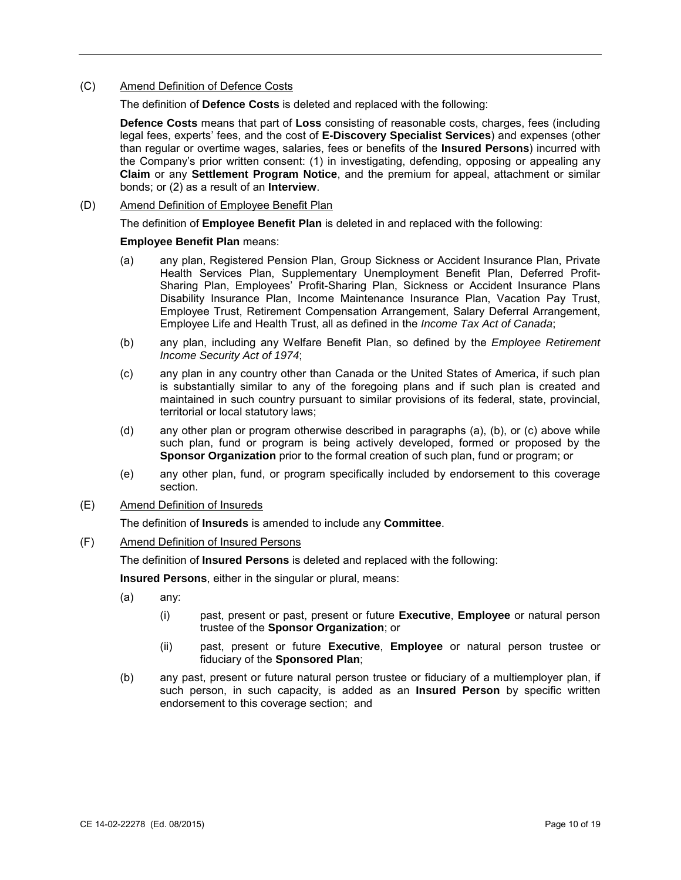## **Amend Definition of Defence Costs**

(C) Amend Definition of Defence Costs The definition of **Defence Costs** is deleted and replaced with the following:

 than regular or overtime wages, salaries, fees or benefits of the **Insured Persons**) incurred with the Company's prior written consent: (1) in investigating, defending, opposing or appealing any **Defence Costs** means that part of **Loss** consisting of reasonable costs, charges, fees (including legal fees, experts' fees, and the cost of **E-Discovery Specialist Services**) and expenses (other **Claim** or any **Settlement Program Notice**, and the premium for appeal, attachment or similar bonds; or (2) as a result of an **Interview**.

(D) Amend Definition of Employee Benefit Plan

The definition of **Employee Benefit Plan** is deleted in and replaced with the following:

# **Employee Benefit Plan** means:

- (a) any plan, Registered Pension Plan, Group Sickness or Accident Insurance Plan, Private Health Services Plan, Supplementary Unemployment Benefit Plan, Deferred Profit-Sharing Plan, Employees' Profit-Sharing Plan, Sickness or Accident Insurance Plans Disability Insurance Plan, Income Maintenance Insurance Plan, Vacation Pay Trust, Employee Trust, Retirement Compensation Arrangement, Salary Deferral Arrangement, Employee Life and Health Trust, all as defined in the *Income Tax Act of Canada*;
- (b) any plan, including any Welfare Benefit Plan, so defined by the *Employee Retirement Income Security Act of 1974*;
- (c) any plan in any country other than Canada or the United States of America, if such plan maintained in such country pursuant to similar provisions of its federal, state, provincial, is substantially similar to any of the foregoing plans and if such plan is created and territorial or local statutory laws;
- (d) any other plan or program otherwise described in paragraphs (a), (b), or (c) above while such plan, fund or program is being actively developed, formed or proposed by the **Sponsor Organization** prior to the formal creation of such plan, fund or program; or
- (e) any other plan, fund, or program specifically included by endorsement to this coverage section.
- (E) Amend Definition of Insureds

The definition of **Insureds** is amended to include any **Committee**.

### (F) Amend Definition of Insured Persons

The definition of **Insured Persons** is deleted and replaced with the following:

**Insured Persons**, either in the singular or plural, means:

- (a) any:
	- (i) past, present or past, present or future **Executive**, **Employee** or natural person trustee of the **Sponsor Organization**; or
	- (ii) past, present or future **Executive**, **Employee** or natural person trustee or fiduciary of the **Sponsored Plan**;
- (b) any past, present or future natural person trustee or fiduciary of a multiemployer plan, if endorsement to this coverage section; and such person, in such capacity, is added as an **Insured Person** by specific written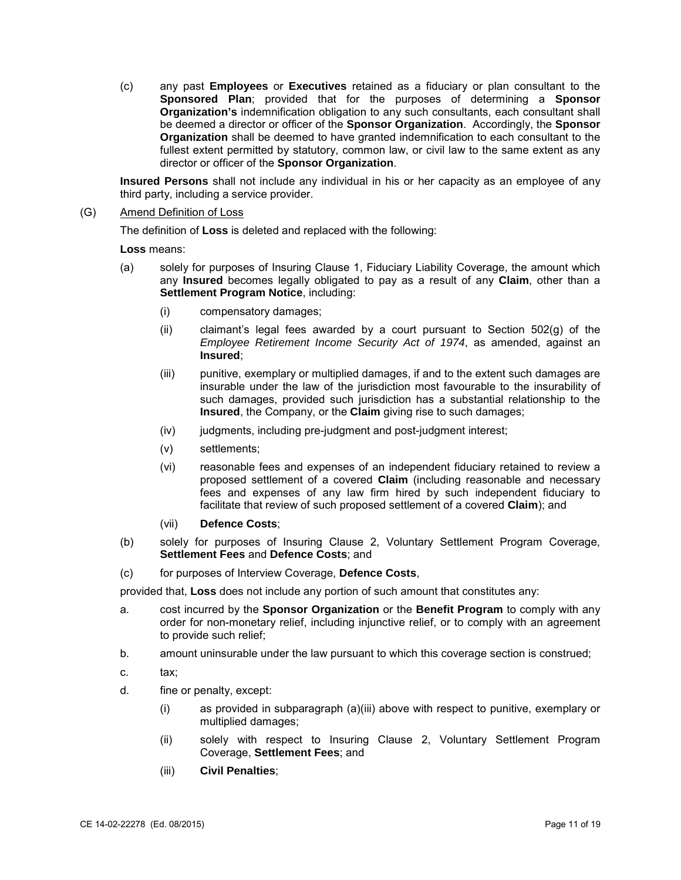fullest extent permitted by statutory, common law, or civil law to the same extent as any (c) any past **Employees** or **Executives** retained as a fiduciary or plan consultant to the **Sponsored Plan**; provided that for the purposes of determining a **Sponsor Organization's** indemnification obligation to any such consultants, each consultant shall be deemed a director or officer of the **Sponsor Organization**. Accordingly, the **Sponsor Organization** shall be deemed to have granted indemnification to each consultant to the director or officer of the **Sponsor Organization**.

 **Insured Persons** shall not include any individual in his or her capacity as an employee of any third party, including a service provider.

### (G) Amend Definition of Loss

The definition of **Loss** is deleted and replaced with the following:

**Loss** means:

- (a) solely for purposes of Insuring Clause 1, Fiduciary Liability Coverage, the amount which any **Insured** becomes legally obligated to pay as a result of any **Claim**, other than a **Settlement Program Notice**, including:
	- (i) compensatory damages;
	- (ii) claimant's legal fees awarded by a court pursuant to Section 502(g) of the *Employee Retirement Income Security Act of 1974*, as amended, against an **Insured**;
	- insurable under the law of the jurisdiction most favourable to the insurability of (iii) punitive, exemplary or multiplied damages, if and to the extent such damages are such damages, provided such jurisdiction has a substantial relationship to the **Insured**, the Company, or the **Claim** giving rise to such damages;
	- (iv) judgments, including pre-judgment and post-judgment interest;
	- (v) settlements;
	- (vi) reasonable fees and expenses of an independent fiduciary retained to review a fees and expenses of any law firm hired by such independent fiduciary to proposed settlement of a covered **Claim** (including reasonable and necessary facilitate that review of such proposed settlement of a covered **Claim**); and
	- (vii) **Defence Costs**;
- (b) solely for purposes of Insuring Clause 2, Voluntary Settlement Program Coverage, **Settlement Fees** and **Defence Costs**; and
- (c) for purposes of Interview Coverage, **Defence Costs**,

provided that, **Loss** does not include any portion of such amount that constitutes any:

- a. cost incurred by the **Sponsor Organization** or the **Benefit Program** to comply with any order for non-monetary relief, including injunctive relief, or to comply with an agreement to provide such relief;
- b. amount uninsurable under the law pursuant to which this coverage section is construed;
- c. tax:
- d. fine or penalty, except:
	- (i) as provided in subparagraph (a)(iii) above with respect to punitive, exemplary or multiplied damages;
	- (ii) solely with respect to Insuring Clause 2, Voluntary Settlement Program Coverage, **Settlement Fees**; and
	- (iii) **Civil Penalties**;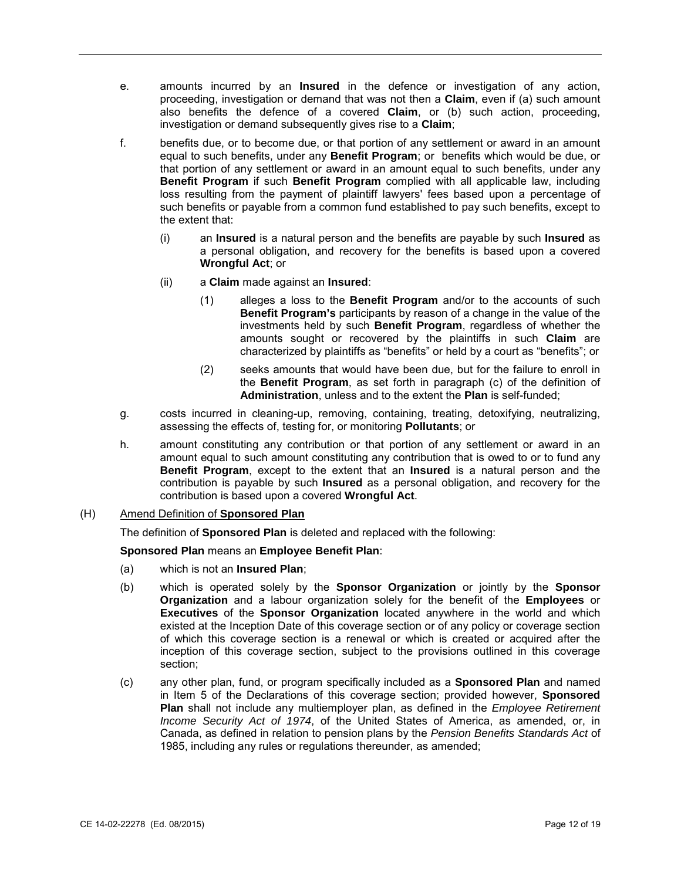- e. amounts incurred by an **Insured** in the defence or investigation of any action, proceeding, investigation or demand that was not then a **Claim**, even if (a) such amount also benefits the defence of a covered **Claim**, or (b) such action, proceeding, investigation or demand subsequently gives rise to a **Claim**;
- f. benefits due, or to become due, or that portion of any settlement or award in an amount equal to such benefits, under any **Benefit Program**; or benefits which would be due, or that portion of any settlement or award in an amount equal to such benefits, under any such benefits or payable from a common fund established to pay such benefits, except to **Benefit Program** if such **Benefit Program** complied with all applicable law, including loss resulting from the payment of plaintiff lawyers' fees based upon a percentage of the extent that:
	- (i) an **Insured** is a natural person and the benefits are payable by such **Insured** as a personal obligation, and recovery for the benefits is based upon a covered **Wrongful Act**; or
	- (ii) a **Claim** made against an **Insured**:
		- (1) alleges a loss to the **Benefit Program** and/or to the accounts of such **Benefit Program's** participants by reason of a change in the value of the investments held by such **Benefit Program**, regardless of whether the amounts sought or recovered by the plaintiffs in such **Claim** are characterized by plaintiffs as "benefits" or held by a court as "benefits"; or
		- (2) seeks amounts that would have been due, but for the failure to enroll in the **Benefit Program**, as set forth in paragraph (c) of the definition of **Administration**, unless and to the extent the **Plan** is self-funded;
- g. costs incurred in cleaning-up, removing, containing, treating, detoxifying, neutralizing, assessing the effects of, testing for, or monitoring **Pollutants**; or
- amount equal to such amount constituting any contribution that is owed to or to fund any **Benefit Program**, except to the extent that an **Insured** is a natural person and the h. amount constituting any contribution or that portion of any settlement or award in an contribution is payable by such **Insured** as a personal obligation, and recovery for the contribution is based upon a covered **Wrongful Act**.
- (H) Amend Definition of **Sponsored Plan**

The definition of **Sponsored Plan** is deleted and replaced with the following:

**Sponsored Plan** means an **Employee Benefit Plan**:

- (a) which is not an **Insured Plan**;
- (b) which is operated solely by the **Sponsor Organization** or jointly by the **Sponsor**  existed at the Inception Date of this coverage section or of any policy or coverage section **Organization** and a labour organization solely for the benefit of the **Employees** or **Executives** of the **Sponsor Organization** located anywhere in the world and which of which this coverage section is a renewal or which is created or acquired after the inception of this coverage section, subject to the provisions outlined in this coverage section;
- (c) any other plan, fund, or program specifically included as a **Sponsored Plan** and named 1985, including any rules or regulations thereunder, as amended; in Item 5 of the Declarations of this coverage section; provided however, **Sponsored Plan** shall not include any multiemployer plan, as defined in the *Employee Retirement Income Security Act of 1974*, of the United States of America, as amended, or, in Canada, as defined in relation to pension plans by the *Pension Benefits Standards Act* of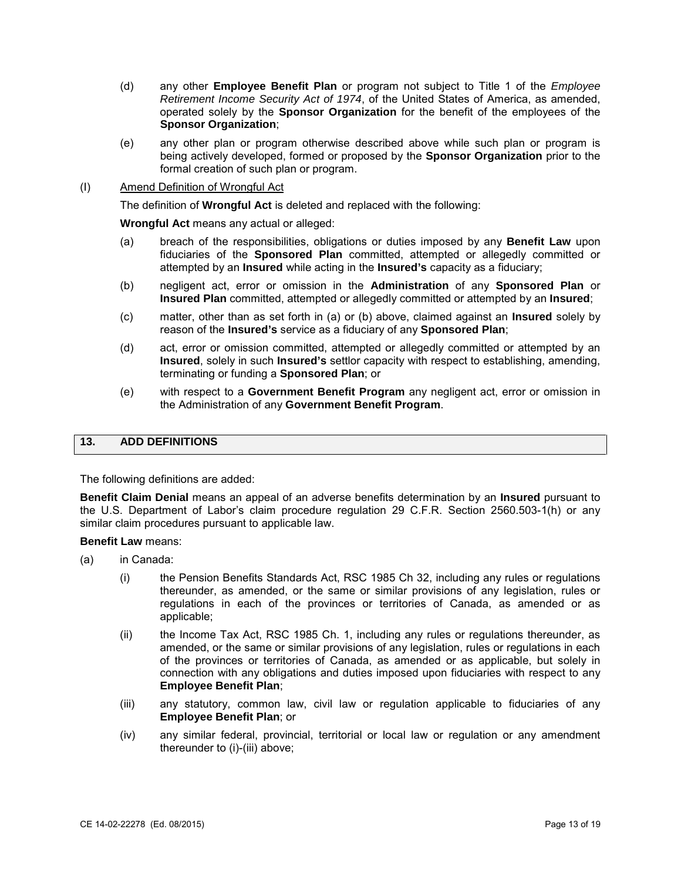- *Retirement Income Security Act of 1974*, of the United States of America, as amended, (d) any other **Employee Benefit Plan** or program not subject to Title 1 of the *Employee*  operated solely by the **Sponsor Organization** for the benefit of the employees of the **Sponsor Organization**;
- being actively developed, formed or proposed by the **Sponsor Organization** prior to the (e) any other plan or program otherwise described above while such plan or program is formal creation of such plan or program.

### (I) Amend Definition of Wrongful Act

The definition of **Wrongful Act** is deleted and replaced with the following:

**Wrongful Act** means any actual or alleged:

- fiduciaries of the **Sponsored Plan** committed, attempted or allegedly committed or (a) breach of the responsibilities, obligations or duties imposed by any **Benefit Law** upon attempted by an **Insured** while acting in the **Insured's** capacity as a fiduciary;
- (b) negligent act, error or omission in the **Administration** of any **Sponsored Plan** or **Insured Plan** committed, attempted or allegedly committed or attempted by an **Insured**;
- (c) matter, other than as set forth in (a) or (b) above, claimed against an **Insured** solely by reason of the **Insured's** service as a fiduciary of any **Sponsored Plan**;
- (d) act, error or omission committed, attempted or allegedly committed or attempted by an **Insured**, solely in such **Insured's** settlor capacity with respect to establishing, amending, terminating or funding a **Sponsored Plan**; or
- (e) with respect to a **Government Benefit Program** any negligent act, error or omission in the Administration of any **Government Benefit Program**.

# **13. ADD DEFINITIONS**

The following definitions are added:

 **Benefit Claim Denial** means an appeal of an adverse benefits determination by an **Insured** pursuant to the U.S. Department of Labor's claim procedure regulation 29 C.F.R. Section 2560.503-1(h) or any similar claim procedures pursuant to applicable law.

**Benefit Law** means:

- (a) in Canada:
	- (i) the Pension Benefits Standards Act, RSC 1985 Ch 32, including any rules or regulations thereunder, as amended, or the same or similar provisions of any legislation, rules or regulations in each of the provinces or territories of Canada, as amended or as applicable;
	- (ii) the Income Tax Act, RSC 1985 Ch. 1, including any rules or regulations thereunder, as connection with any obligations and duties imposed upon fiduciaries with respect to any amended, or the same or similar provisions of any legislation, rules or regulations in each of the provinces or territories of Canada, as amended or as applicable, but solely in **Employee Benefit Plan**;
	- (iii) any statutory, common law, civil law or regulation applicable to fiduciaries of any **Employee Benefit Plan**; or
	- (iv) any similar federal, provincial, territorial or local law or regulation or any amendment thereunder to (i)-(iii) above;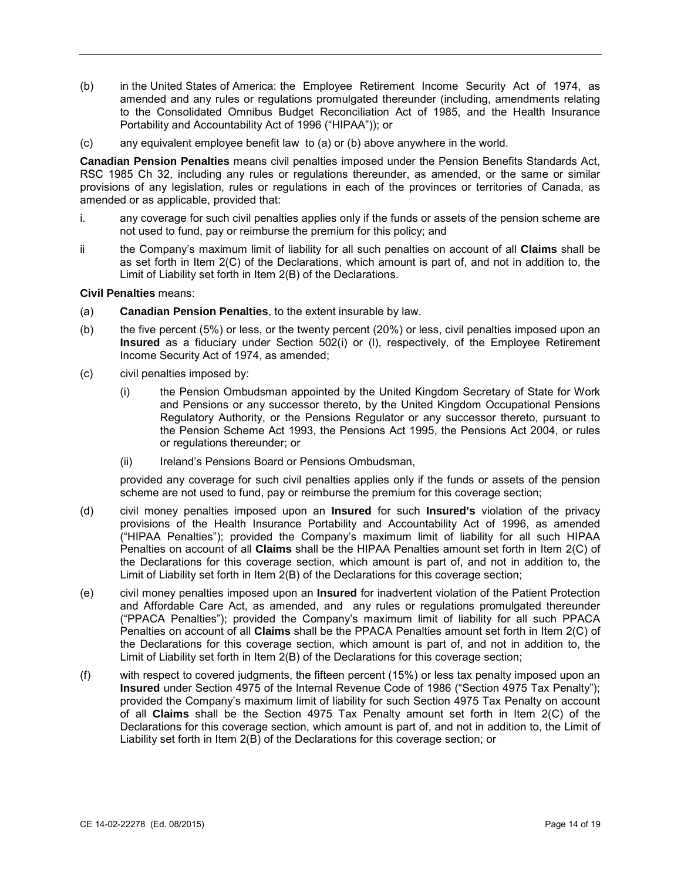- amended and any rules or regulations promulgated thereunder (including, amendments relating Portability and Accountability Act of 1996 ("HIPAA")); or (b) in the United States of America: the Employee Retirement Income Security Act of 1974, as to the Consolidated Omnibus Budget Reconciliation Act of 1985, and the Health Insurance
- (c) any equivalent employee benefit law to (a) or (b) above anywhere in the world.

 **Canadian Pension Penalties** means civil penalties imposed under the Pension Benefits Standards Act, RSC 1985 Ch 32, including any rules or regulations thereunder, as amended, or the same or similar provisions of any legislation, rules or regulations in each of the provinces or territories of Canada, as amended or as applicable, provided that:

- i. any coverage for such civil penalties applies only if the funds or assets of the pension scheme are not used to fund, pay or reimburse the premium for this policy; and
- the Company's maximum limit of liability for all such penalties on account of all **Claims** shall be as set forth in Item 2(C) of the Declarations, which amount is part of, and not in addition to, the ii Limit of Liability set forth in Item 2(B) of the Declarations.

**Civil Penalties** means:

- (a) **Canadian Pension Penalties**, to the extent insurable by law.
- (b) the five percent (5%) or less, or the twenty percent (20%) or less, civil penalties imposed upon an **Insured** as a fiduciary under Section 502(i) or (l), respectively, of the Employee Retirement Income Security Act of 1974, as amended;
- (c) civil penalties imposed by:
	- (i) the Pension Ombudsman appointed by the United Kingdom Secretary of State for Work and Pensions or any successor thereto, by the United Kingdom Occupational Pensions the Pension Scheme Act 1993, the Pensions Act 1995, the Pensions Act 2004, or rules Regulatory Authority, or the Pensions Regulator or any successor thereto, pursuant to or regulations thereunder; or
	- (ii) Ireland's Pensions Board or Pensions Ombudsman,

 provided any coverage for such civil penalties applies only if the funds or assets of the pension scheme are not used to fund, pay or reimburse the premium for this coverage section;

- provisions of the Health Insurance Portability and Accountability Act of 1996, as amended ("HIPAA Penalties"); provided the Company's maximum limit of liability for all such HIPAA Penalties on account of all **Claims** shall be the HIPAA Penalties amount set forth in Item 2(C) of (d) civil money penalties imposed upon an **Insured** for such **Insured's** violation of the privacy the Declarations for this coverage section, which amount is part of, and not in addition to, the Limit of Liability set forth in Item 2(B) of the Declarations for this coverage section;
- (e) civil money penalties imposed upon an **Insured** for inadvertent violation of the Patient Protection and Affordable Care Act, as amended, and any rules or regulations promulgated thereunder ("PPACA Penalties"); provided the Company's maximum limit of liability for all such PPACA Penalties on account of all **Claims** shall be the PPACA Penalties amount set forth in Item 2(C) of the Declarations for this coverage section, which amount is part of, and not in addition to, the Limit of Liability set forth in Item 2(B) of the Declarations for this coverage section;
- (f) with respect to covered judgments, the fifteen percent (15%) or less tax penalty imposed upon an provided the Company's maximum limit of liability for such Section 4975 Tax Penalty on account **Insured** under Section 4975 of the Internal Revenue Code of 1986 ("Section 4975 Tax Penalty"); of all **Claims** shall be the Section 4975 Tax Penalty amount set forth in Item 2(C) of the Declarations for this coverage section, which amount is part of, and not in addition to, the Limit of Liability set forth in Item 2(B) of the Declarations for this coverage section; or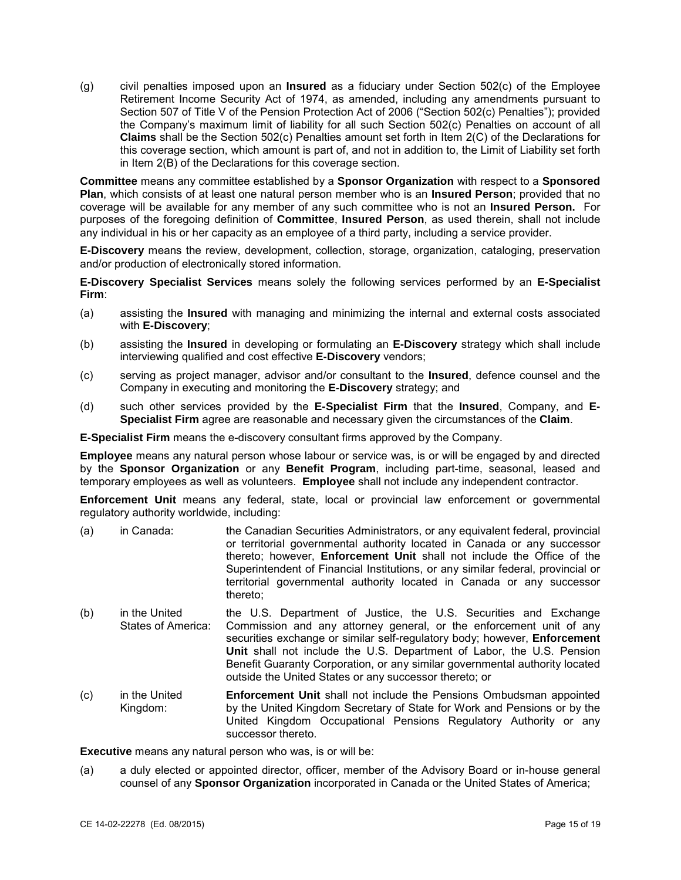Retirement Income Security Act of 1974, as amended, including any amendments pursuant to (g) civil penalties imposed upon an **Insured** as a fiduciary under Section 502(c) of the Employee Section 507 of Title V of the Pension Protection Act of 2006 ("Section 502(c) Penalties"); provided the Company's maximum limit of liability for all such Section 502(c) Penalties on account of all **Claims** shall be the Section 502(c) Penalties amount set forth in Item 2(C) of the Declarations for this coverage section, which amount is part of, and not in addition to, the Limit of Liability set forth in Item 2(B) of the Declarations for this coverage section.

 **Plan**, which consists of at least one natural person member who is an **Insured Person**; provided that no coverage will be available for any member of any such committee who is not an **Insured Person.** For purposes of the foregoing definition of **Committee**, **Insured Person**, as used therein, shall not include any individual in his or her capacity as an employee of a third party, including a service provider. **Committee** means any committee established by a **Sponsor Organization** with respect to a **Sponsored** 

 **E-Discovery** means the review, development, collection, storage, organization, cataloging, preservation and/or production of electronically stored information.

**E-Discovery Specialist Services** means solely the following services performed by an **E-Specialist Firm**:

- (a) assisting the **Insured** with managing and minimizing the internal and external costs associated with **E-Discovery**;
- (b) assisting the **Insured** in developing or formulating an **E-Discovery** strategy which shall include interviewing qualified and cost effective **E-Discovery** vendors;
- (c) serving as project manager, advisor and/or consultant to the **Insured**, defence counsel and the Company in executing and monitoring the **E-Discovery** strategy; and
- (d) such other services provided by the **E-Specialist Firm** that the **Insured**, Company, and **E-Specialist Firm** agree are reasonable and necessary given the circumstances of the **Claim**.

**E-Specialist Firm** means the e-discovery consultant firms approved by the Company.

 by the **Sponsor Organization** or any **Benefit Program**, including part-time, seasonal, leased and temporary employees as well as volunteers. **Employee** shall not include any independent contractor. **Employee** means any natural person whose labour or service was, is or will be engaged by and directed

 **Enforcement Unit** means any federal, state, local or provincial law enforcement or governmental regulatory authority worldwide, including:

- (a) in Canada: the Canadian Securities Administrators, or any equivalent federal, provincial or territorial governmental authority located in Canada or any successor thereto; however, **Enforcement Unit** shall not include the Office of the Superintendent of Financial Institutions, or any similar federal, provincial or territorial governmental authority located in Canada or any successor thereto;
- (b) in the United States of America: the U.S. Department of Justice, the U.S. Securities and Exchange Commission and any attorney general, or the enforcement unit of any securities exchange or similar self-regulatory body; however, **Enforcement Unit** shall not include the U.S. Department of Labor, the U.S. Pension Benefit Guaranty Corporation, or any similar governmental authority located outside the United States or any successor thereto; or
- (c) in the United Kingdom: **Enforcement Unit** shall not include the Pensions Ombudsman appointed by the United Kingdom Secretary of State for Work and Pensions or by the United Kingdom Occupational Pensions Regulatory Authority or any successor thereto.

**Executive** means any natural person who was, is or will be:

 (a) a duly elected or appointed director, officer, member of the Advisory Board or in-house general counsel of any **Sponsor Organization** incorporated in Canada or the United States of America;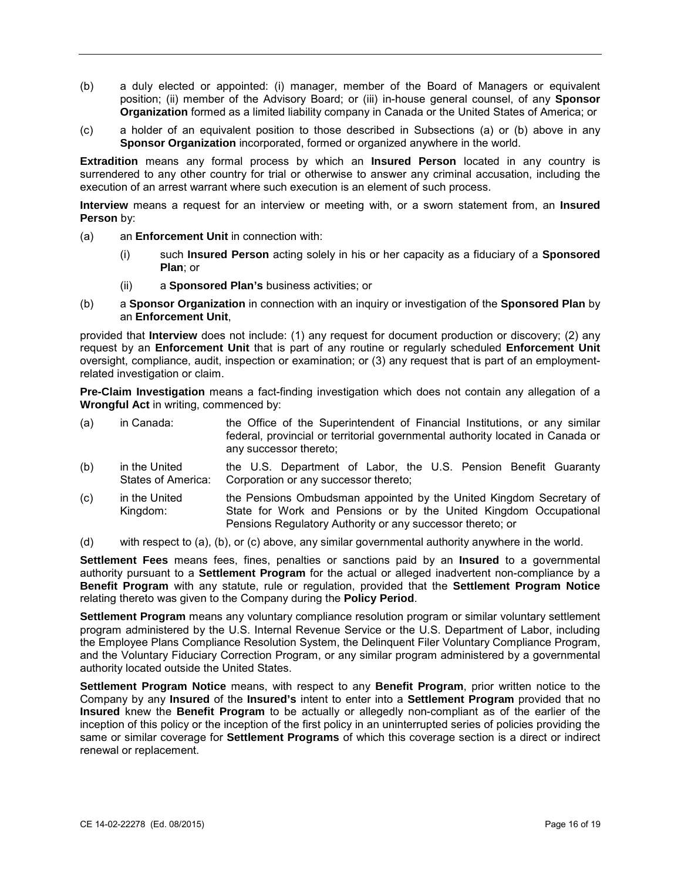- position; (ii) member of the Advisory Board; or (iii) in-house general counsel, of any **Sponsor**  (b) a duly elected or appointed: (i) manager, member of the Board of Managers or equivalent **Organization** formed as a limited liability company in Canada or the United States of America; or
- (c) a holder of an equivalent position to those described in Subsections (a) or (b) above in any **Sponsor Organization** incorporated, formed or organized anywhere in the world.

 **Extradition** means any formal process by which an **Insured Person** located in any country is execution of an arrest warrant where such execution is an element of such process. surrendered to any other country for trial or otherwise to answer any criminal accusation, including the

 **Interview** means a request for an interview or meeting with, or a sworn statement from, an **Insured Person by:** 

- (a) an **Enforcement Unit** in connection with:
	- (i) such **Insured Person** acting solely in his or her capacity as a fiduciary of a **Sponsored Plan**; or
	- (ii) a **Sponsored Plan's** business activities; or
- (b) a **Sponsor Organization** in connection with an inquiry or investigation of the **Sponsored Plan** by an **Enforcement Unit**,

 provided that **Interview** does not include: (1) any request for document production or discovery; (2) any request by an **Enforcement Unit** that is part of any routine or regularly scheduled **Enforcement Unit**  oversight, compliance, audit, inspection or examination; or (3) any request that is part of an employmentrelated investigation or claim.

**Pre-Claim Investigation** means a fact-finding investigation which does not contain any allegation of a **Wrongful Act** in writing, commenced by:

| (a) | in Canada:    | the Office of the Superintendent of Financial Institutions, or any similar<br>federal, provincial or territorial governmental authority located in Canada or |
|-----|---------------|--------------------------------------------------------------------------------------------------------------------------------------------------------------|
|     |               | any successor thereto;                                                                                                                                       |
| (h) | in the United | the U.S. Department of Labor, the U.S. Pension Benefit Guaranty                                                                                              |

- (b) in the United States of America: the U.S. Pension Benefit Guaranty Corporation or any successor thereto;
- (c) in the United Kingdom: the Pensions Ombudsman appointed by the United Kingdom Secretary of State for Work and Pensions or by the United Kingdom Occupational Pensions Regulatory Authority or any successor thereto; or

(d) with respect to (a), (b), or (c) above, any similar governmental authority anywhere in the world.

**Settlement Fees** means fees, fines, penalties or sanctions paid by an **Insured** to a governmental authority pursuant to a **Settlement Program** for the actual or alleged inadvertent non-compliance by a **Benefit Program** with any statute, rule or regulation, provided that the **Settlement Program Notice**  relating thereto was given to the Company during the **Policy Period**.

 program administered by the U.S. Internal Revenue Service or the U.S. Department of Labor, including and the Voluntary Fiduciary Correction Program, or any similar program administered by a governmental **Settlement Program** means any voluntary compliance resolution program or similar voluntary settlement the Employee Plans Compliance Resolution System, the Delinquent Filer Voluntary Compliance Program, authority located outside the United States.

 Company by any **Insured** of the **Insured's** intent to enter into a **Settlement Program** provided that no same or similar coverage for **Settlement Programs** of which this coverage section is a direct or indirect **Settlement Program Notice** means, with respect to any **Benefit Program**, prior written notice to the **Insured** knew the **Benefit Program** to be actually or allegedly non-compliant as of the earlier of the inception of this policy or the inception of the first policy in an uninterrupted series of policies providing the renewal or replacement.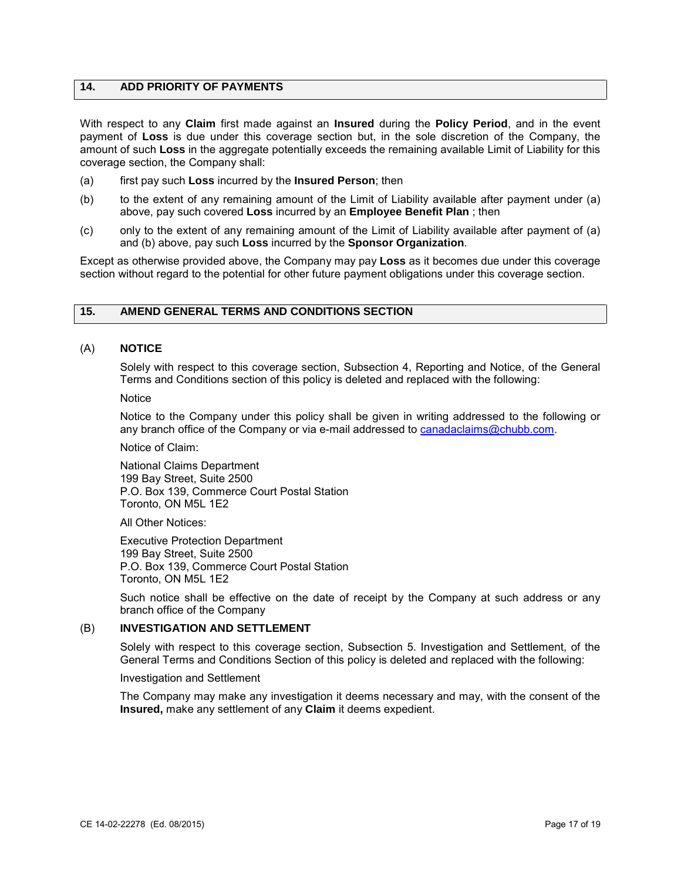## **14. ADD PRIORITY OF PAYMENTS**

With respect to any **Claim** first made against an **Insured** during the **Policy Period**, and in the event payment of **Loss** is due under this coverage section but, in the sole discretion of the Company, the amount of such **Loss** in the aggregate potentially exceeds the remaining available Limit of Liability for this coverage section, the Company shall:

- (a) first pay such **Loss** incurred by the **Insured Person**; then
- (b) to the extent of any remaining amount of the Limit of Liability available after payment under (a) above, pay such covered **Loss** incurred by an **Employee Benefit Plan** ; then
- (c) only to the extent of any remaining amount of the Limit of Liability available after payment of (a) and (b) above, pay such Loss incurred by the Sponsor Organization.

Except as otherwise provided above, the Company may pay Loss as it becomes due under this coverage section without regard to the potential for other future payment obligations under this coverage section.

# **15. AMEND GENERAL TERMS AND CONDITIONS SECTION**

## (A) **NOTICE**

Solely with respect to this coverage section, Subsection 4, Reporting and Notice, of the General Terms and Conditions section of this policy is deleted and replaced with the following:

**Notice** 

Notice to the Company under this policy shall be given in writing addressed to the following or any branch office of the Company or via e-mail addressed to [canadaclaims@chubb.com.](mailto:canadaclaims@chubb.com)

Notice of Claim:

National Claims Department 199 Bay Street, Suite 2500 P.O. Box 139, Commerce Court Postal Station Toronto, ON M5L 1E2

All Other Notices:

Executive Protection Department 199 Bay Street, Suite 2500 P.O. Box 139, Commerce Court Postal Station Toronto, ON M5L 1E2

Such notice shall be effective on the date of receipt by the Company at such address or any branch office of the Company

#### (B) **INVESTIGATION AND SETTLEMENT**

Solely with respect to this coverage section, Subsection 5. Investigation and Settlement, of the General Terms and Conditions Section of this policy is deleted and replaced with the following:

Investigation and Settlement

The Company may make any investigation it deems necessary and may, with the consent of the **Insured,** make any settlement of any **Claim** it deems expedient.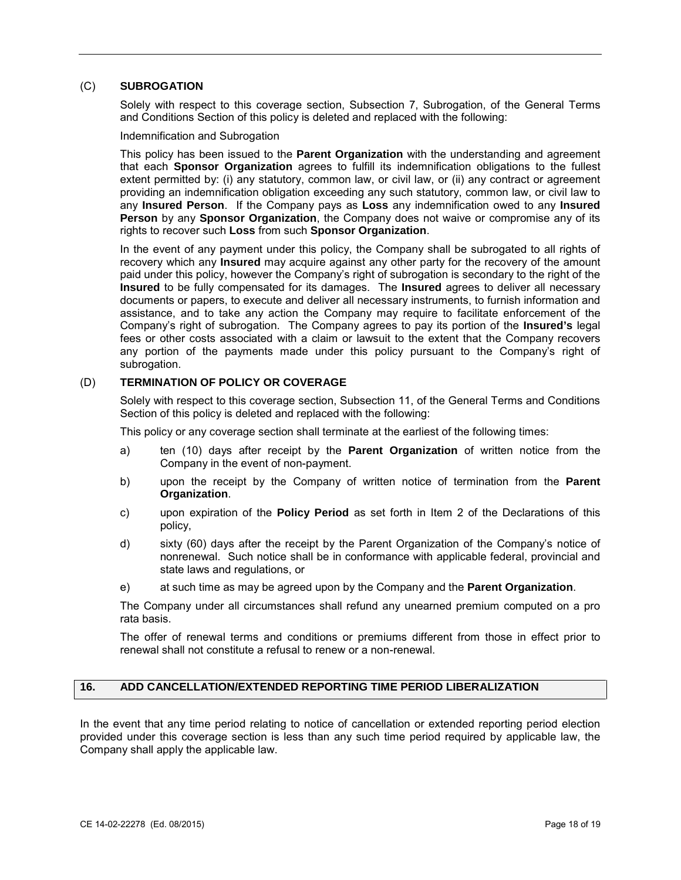# (C) **SUBROGATION**

Solely with respect to this coverage section, Subsection 7, Subrogation, of the General Terms and Conditions Section of this policy is deleted and replaced with the following:

Indemnification and Subrogation

 This policy has been issued to the **Parent Organization** with the understanding and agreement extent permitted by: (i) any statutory, common law, or civil law, or (ii) any contract or agreement providing an indemnification obligation exceeding any such statutory, common law, or civil law to any **Insured Person**. If the Company pays as **Loss** any indemnification owed to any **Insured Person** by any **Sponsor Organization**, the Company does not waive or compromise any of its that each **Sponsor Organization** agrees to fulfill its indemnification obligations to the fullest rights to recover such **Loss** from such **Sponsor Organization**.

 In the event of any payment under this policy, the Company shall be subrogated to all rights of recovery which any **Insured** may acquire against any other party for the recovery of the amount **Insured** to be fully compensated for its damages. The **Insured** agrees to deliver all necessary Company's right of subrogation. The Company agrees to pay its portion of the **Insured's** legal any portion of the payments made under this policy pursuant to the Company's right of paid under this policy, however the Company's right of subrogation is secondary to the right of the documents or papers, to execute and deliver all necessary instruments, to furnish information and assistance, and to take any action the Company may require to facilitate enforcement of the fees or other costs associated with a claim or lawsuit to the extent that the Company recovers subrogation.

### (D) **TERMINATION OF POLICY OR COVERAGE**

Solely with respect to this coverage section, Subsection 11, of the General Terms and Conditions Section of this policy is deleted and replaced with the following:

This policy or any coverage section shall terminate at the earliest of the following times:

- a) ten (10) days after receipt by the **Parent Organization** of written notice from the Company in the event of non-payment.
- b) upon the receipt by the Company of written notice of termination from the **Parent Organization**.
- c) upon expiration of the **Policy Period** as set forth in Item 2 of the Declarations of this policy,
- d) sixty (60) days after the receipt by the Parent Organization of the Company's notice of nonrenewal. Such notice shall be in conformance with applicable federal, provincial and state laws and regulations, or
- e) at such time as may be agreed upon by the Company and the **Parent Organization**.

The Company under all circumstances shall refund any unearned premium computed on a pro rata basis.

The offer of renewal terms and conditions or premiums different from those in effect prior to renewal shall not constitute a refusal to renew or a non-renewal.

### **16. ADD CANCELLATION/EXTENDED REPORTING TIME PERIOD LIBERALIZATION**

In the event that any time period relating to notice of cancellation or extended reporting period election provided under this coverage section is less than any such time period required by applicable law, the Company shall apply the applicable law.